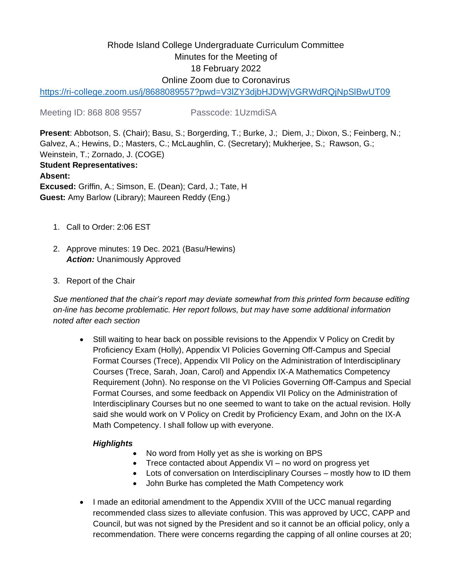# Rhode Island College Undergraduate Curriculum Committee Minutes for the Meeting of 18 February 2022 Online Zoom due to Coronavirus

<https://ri-college.zoom.us/j/8688089557?pwd=V3lZY3djbHJDWjVGRWdRQjNpSlBwUT09>

Meeting ID: 868 808 9557 Passcode: 1UzmdiSA

**Present**: Abbotson, S. (Chair); Basu, S.; Borgerding, T.; Burke, J.; Diem, J.; Dixon, S.; Feinberg, N.; Galvez, A.; Hewins, D.; Masters, C.; McLaughlin, C. (Secretary); Mukherjee, S.; Rawson, G.; Weinstein, T.; Zornado, J. (COGE) **Student Representatives: Absent: Excused:** Griffin, A.; Simson, E. (Dean); Card, J.; Tate, H **Guest:** Amy Barlow (Library); Maureen Reddy (Eng.)

- 1. Call to Order: 2:06 EST
- 2. Approve minutes: 19 Dec. 2021 (Basu/Hewins) *Action:* Unanimously Approved
- 3. Report of the Chair

*Sue mentioned that the chair's report may deviate somewhat from this printed form because editing on-line has become problematic. Her report follows, but may have some additional information noted after each section* 

• Still waiting to hear back on possible revisions to the Appendix V Policy on Credit by Proficiency Exam (Holly), Appendix VI Policies Governing Off-Campus and Special Format Courses (Trece), Appendix VII Policy on the Administration of Interdisciplinary Courses (Trece, Sarah, Joan, Carol) and Appendix IX-A Mathematics Competency Requirement (John). No response on the VI Policies Governing Off-Campus and Special Format Courses, and some feedback on Appendix VII Policy on the Administration of Interdisciplinary Courses but no one seemed to want to take on the actual revision. Holly said she would work on V Policy on Credit by Proficiency Exam, and John on the IX-A Math Competency. I shall follow up with everyone.

# *Highlights*

- No word from Holly yet as she is working on BPS
- Trece contacted about Appendix VI no word on progress yet
- Lots of conversation on Interdisciplinary Courses mostly how to ID them
- John Burke has completed the Math Competency work
- I made an editorial amendment to the Appendix XVIII of the UCC manual regarding recommended class sizes to alleviate confusion. This was approved by UCC, CAPP and Council, but was not signed by the President and so it cannot be an official policy, only a recommendation. There were concerns regarding the capping of all online courses at 20;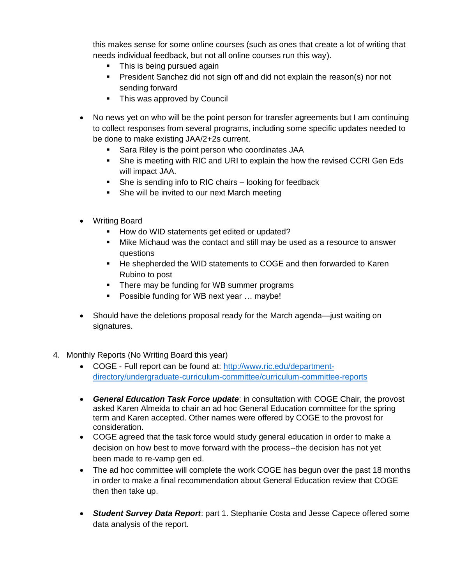this makes sense for some online courses (such as ones that create a lot of writing that needs individual feedback, but not all online courses run this way).

- This is being pursued again
- **•** President Sanchez did not sign off and did not explain the reason(s) nor not sending forward
- This was approved by Council
- No news yet on who will be the point person for transfer agreements but I am continuing to collect responses from several programs, including some specific updates needed to be done to make existing JAA/2+2s current.
	- Sara Riley is the point person who coordinates JAA
	- **•** She is meeting with RIC and URI to explain the how the revised CCRI Gen Eds will impact JAA.
	- She is sending info to RIC chairs looking for feedback
	- She will be invited to our next March meeting
- Writing Board
	- How do WID statements get edited or updated?
	- **.** Mike Michaud was the contact and still may be used as a resource to answer questions
	- He shepherded the WID statements to COGE and then forwarded to Karen Rubino to post
	- **•** There may be funding for WB summer programs
	- Possible funding for WB next year ... maybe!
- Should have the deletions proposal ready for the March agenda—just waiting on signatures.
- 4. Monthly Reports (No Writing Board this year)
	- COGE Full report can be found at: [http://www.ric.edu/department](http://www.ric.edu/department-directory/undergraduate-curriculum-committee/curriculum-committee-reports)[directory/undergraduate-curriculum-committee/curriculum-committee-reports](http://www.ric.edu/department-directory/undergraduate-curriculum-committee/curriculum-committee-reports)
	- *General Education Task Force update*: in consultation with COGE Chair, the provost asked Karen Almeida to chair an ad hoc General Education committee for the spring term and Karen accepted. Other names were offered by COGE to the provost for consideration.
	- COGE agreed that the task force would study general education in order to make a decision on how best to move forward with the process--the decision has not yet been made to re-vamp gen ed.
	- The ad hoc committee will complete the work COGE has begun over the past 18 months in order to make a final recommendation about General Education review that COGE then then take up.
	- *Student Survey Data Report*: part 1. Stephanie Costa and Jesse Capece offered some data analysis of the report.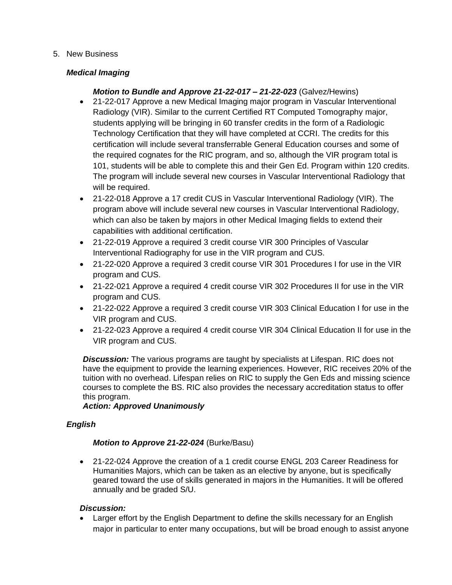#### 5. New Business

### *Medical Imaging*

## *Motion to Bundle and Approve 21-22-017 – 21-22-023* (Galvez/Hewins)

- 21-22-017 Approve a new Medical Imaging major program in Vascular Interventional Radiology (VIR). Similar to the current Certified RT Computed Tomography major, students applying will be bringing in 60 transfer credits in the form of a Radiologic Technology Certification that they will have completed at CCRI. The credits for this certification will include several transferrable General Education courses and some of the required cognates for the RIC program, and so, although the VIR program total is 101, students will be able to complete this and their Gen Ed. Program within 120 credits. The program will include several new courses in Vascular Interventional Radiology that will be required.
- 21-22-018 Approve a 17 credit CUS in Vascular Interventional Radiology (VIR). The program above will include several new courses in Vascular Interventional Radiology, which can also be taken by majors in other Medical Imaging fields to extend their capabilities with additional certification.
- 21-22-019 Approve a required 3 credit course VIR 300 Principles of Vascular Interventional Radiography for use in the VIR program and CUS.
- 21-22-020 Approve a required 3 credit course VIR 301 Procedures I for use in the VIR program and CUS.
- 21-22-021 Approve a required 4 credit course VIR 302 Procedures II for use in the VIR program and CUS.
- 21-22-022 Approve a required 3 credit course VIR 303 Clinical Education I for use in the VIR program and CUS.
- 21-22-023 Approve a required 4 credit course VIR 304 Clinical Education II for use in the VIR program and CUS.

*Discussion:* The various programs are taught by specialists at Lifespan. RIC does not have the equipment to provide the learning experiences. However, RIC receives 20% of the tuition with no overhead. Lifespan relies on RIC to supply the Gen Eds and missing science courses to complete the BS. RIC also provides the necessary accreditation status to offer this program.

# *Action: Approved Unanimously*

# *English*

#### *Motion to Approve 21-22-024* (Burke/Basu)

• 21-22-024 Approve the creation of a 1 credit course ENGL 203 Career Readiness for Humanities Majors, which can be taken as an elective by anyone, but is specifically geared toward the use of skills generated in majors in the Humanities. It will be offered annually and be graded S/U.

# *Discussion:*

• Larger effort by the English Department to define the skills necessary for an English major in particular to enter many occupations, but will be broad enough to assist anyone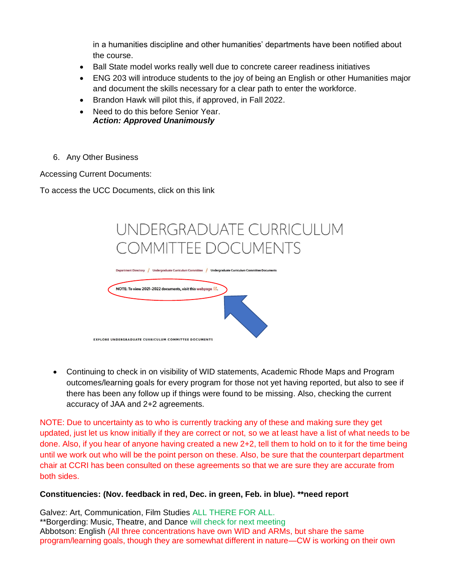in a humanities discipline and other humanities' departments have been notified about the course.

- Ball State model works really well due to concrete career readiness initiatives
- ENG 203 will introduce students to the joy of being an English or other Humanities major and document the skills necessary for a clear path to enter the workforce.
- Brandon Hawk will pilot this, if approved, in Fall 2022.
- Need to do this before Senior Year. *Action: Approved Unanimously*
- 6. Any Other Business

Accessing Current Documents:

To access the UCC Documents, click on this link



• Continuing to check in on visibility of WID statements, Academic Rhode Maps and Program outcomes/learning goals for every program for those not yet having reported, but also to see if there has been any follow up if things were found to be missing. Also, checking the current accuracy of JAA and 2+2 agreements.

NOTE: Due to uncertainty as to who is currently tracking any of these and making sure they get updated, just let us know initially if they are correct or not, so we at least have a list of what needs to be done. Also, if you hear of anyone having created a new 2+2, tell them to hold on to it for the time being until we work out who will be the point person on these. Also, be sure that the counterpart department chair at CCRI has been consulted on these agreements so that we are sure they are accurate from both sides.

#### **Constituencies: (Nov. feedback in red, Dec. in green, Feb. in blue). \*\*need report**

Galvez: Art, Communication, Film Studies ALL THERE FOR ALL. \*\*Borgerding: Music, Theatre, and Dance will check for next meeting Abbotson: English (All three concentrations have own WID and ARMs, but share the same program/learning goals, though they are somewhat different in nature—CW is working on their own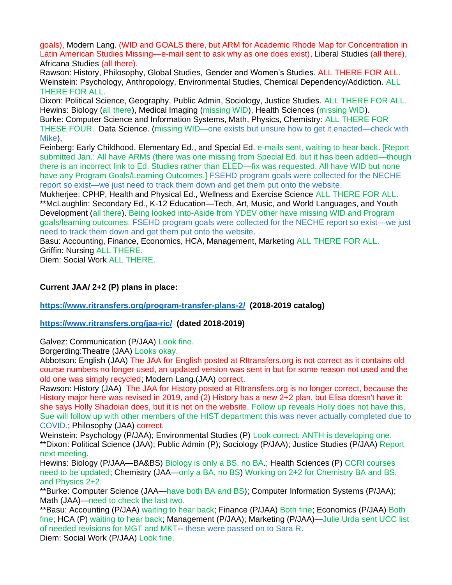goals), Modern Lang. (WID and GOALS there, but ARM for Academic Rhode Map for Concentration in Latin American Studies Missing—e-mail sent to ask why as one does exist), Liberal Studies (all there), Africana Studies (all there).

Rawson: History, Philosophy, Global Studies, Gender and Women's Studies. ALL THERE FOR ALL. Weinstein: Psychology, Anthropology, Environmental Studies, Chemical Dependency/Addiction. ALL THERE FOR ALL.

Dixon: Political Science, Geography, Public Admin, Sociology, Justice Studies. ALL THERE FOR ALL. Hewins: Biology (all there), Medical Imaging (missing WID), Health Sciences (missing WID). Burke: Computer Science and Information Systems, Math, Physics, Chemistry: ALL THERE FOR THESE FOUR. Data Science. (missing WID—one exists but unsure how to get it enacted—check with Mike),

Feinberg: Early Childhood, Elementary Ed., and Special Ed. e-mails sent, waiting to hear back. [Report submitted Jan.: All have ARMs (there was one missing from Special Ed. but it has been added—though there is an incorrect link to Ed. Studies rather than ELED—fix was requested. All have WID but none have any Program Goals/Learning Outcomes.] FSEHD program goals were collected for the NECHE report so exist—we just need to track them down and get them put onto the website.

Mukherjee: CPHP, Health and Physical Ed., Wellness and Exercise Science ALL THERE FOR ALL. \*\*McLaughlin: Secondary Ed., K-12 Education—Tech, Art, Music, and World Languages, and Youth Development (all there). Being looked into-Aside from YDEV other have missing WID and Program goals/learning outcomes. FSEHD program goals were collected for the NECHE report so exist—we just need to track them down and get them put onto the website.

Basu: Accounting, Finance, Economics, HCA, Management, Marketing ALL THERE FOR ALL. Griffin: Nursing ALL THERE.

Diem: Social Work ALL THERE.

#### **Current JAA/ 2+2 (P) plans in place:**

#### **<https://www.ritransfers.org/program-transfer-plans-2/>(2018-2019 catalog)**

#### **<https://www.ritransfers.org/jaa-ric/>(dated 2018-2019)**

Galvez: Communication (P/JAA) Look fine.

Borgerding:Theatre (JAA) Looks okay.

Abbotson: English (JAA) The JAA for English posted at RItransfers.org is not correct as it contains old course numbers no longer used, an updated version was sent in but for some reason not used and the old one was simply recycled; Modern Lang.(JAA) correct.

Rawson: History (JAA) The JAA for History posted at RItransfers.org is no longer correct, because the History major here was revised in 2019, and (2) History has a new 2+2 plan, but Elisa doesn't have it: she says Holly Shadoian does, but it is not on the website. Follow up reveals Holly does not have this, Sue will follow up with other members of the HIST department this was never actually completed due to COVID.; Philosophy (JAA) correct.

Weinstein: Psychology (P/JAA); Environmental Studies (P) Look correct. ANTH is developing one. \*\*Dixon: Political Science (JAA); Public Admin (P); Sociology (P/JAA); Justice Studies (P/JAA) Report next meeting.

Hewins: Biology (P/JAA—BA&BS) Biology is only a BS, no BA.; Health Sciences (P) CCRI courses need to be updated; Chemistry (JAA—only a BA, no BS) Working on 2+2 for Chemistry BA and BS, and Physics 2+2.

\*\*Burke: Computer Science (JAA—have both BA and BS); Computer Information Systems (P/JAA); Math (JAA)—need to check the last two.

\*\*Basu: Accounting (P/JAA) waiting to hear back; Finance (P/JAA) Both fine; Economics (P/JAA) Both fine; HCA (P) waiting to hear back; Management (P/JAA); Marketing (P/JAA)—Julie Urda sent UCC list of needed revisions for MGT and MKT-- these were passed on to Sara R. Diem: Social Work (P/JAA) Look fine.